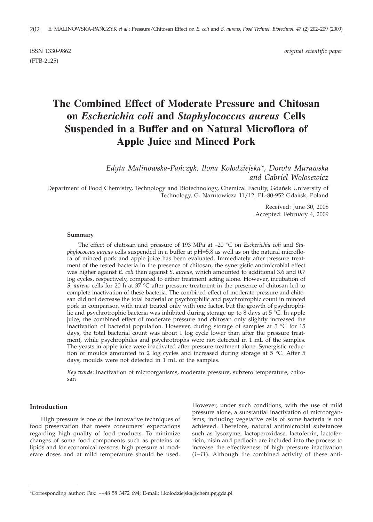(FTB-2125)

ISSN 1330-9862 *original scientific paper*

# **The Combined Effect of Moderate Pressure and Chitosan on** *Escherichia coli* **and** *Staphylococcus aureus* **Cells Suspended in a Buffer and on Natural Microflora of Apple Juice and Minced Pork**

*Edyta Malinowska-Pañczyk, Ilona Ko³odziejska\*, Dorota Murawska and Gabriel Wo³osewicz*

Department of Food Chemistry, Technology and Biotechnology, Chemical Faculty, Gdańsk University of Technology, G. Narutowicza 11/12, PL-80-952 Gdañsk, Poland

> Received: June 30, 2008 Accepted: February 4, 2009

#### **Summary**

The effect of chitosan and pressure of 193 MPa at –20 °C on *Escherichia coli* and *Staphylococcus aureus* cells suspended in a buffer at pH=5.8 as well as on the natural microflora of minced pork and apple juice has been evaluated. Immediately after pressure treatment of the tested bacteria in the presence of chitosan, the synergistic antimicrobial effect was higher against *E. coli* than against *S. aureus,* which amounted to additional 3.6 and 0.7 log cycles, respectively, compared to either treatment acting alone. However, incubation of *S. aureus* cells for 20 h at 37 °C after pressure treatment in the presence of chitosan led to complete inactivation of these bacteria. The combined effect of moderate pressure and chitosan did not decrease the total bacterial or psychrophilic and psychrotrophic count in minced pork in comparison with meat treated only with one factor, but the growth of psychrophilic and psychrotrophic bacteria was inhibited during storage up to 8 days at  $5^{\circ}$ C. In apple juice, the combined effect of moderate pressure and chitosan only slightly increased the inactivation of bacterial population. However, during storage of samples at 5 °C for 15 days, the total bacterial count was about 1 log cycle lower than after the pressure treatment, while psychrophiles and psychrotrophs were not detected in 1 mL of the samples. The yeasts in apple juice were inactivated after pressure treatment alone. Synergistic reduction of moulds amounted to 2 log cycles and increased during storage at 5 °C. After 5 days, moulds were not detected in 1 mL of the samples.

*Key words*: inactivation of microorganisms, moderate pressure, subzero temperature, chitosan

#### **Introduction**

High pressure is one of the innovative techniques of food preservation that meets consumers' expectations regarding high quality of food products. To minimize changes of some food components such as proteins or lipids and for economical reasons, high pressure at moderate doses and at mild temperature should be used.

However, under such conditions, with the use of mild pressure alone, a substantial inactivation of microorganisms, including vegetative cells of some bacteria is not achieved. Therefore, natural antimicrobial substances such as lysozyme, lactoperoxidase, lactoferrin, lactoferricin, nisin and pediocin are included into the process to increase the effectiveness of high pressure inactivation (*1–11*). Although the combined activity of these anti-

<sup>\*</sup>Corresponding author; Fax: ++48 58 3472 694; E-mail: i.kolodziejska@chem.pg.gda.pl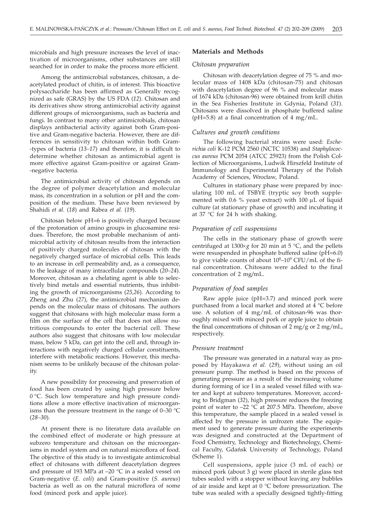microbials and high pressure increases the level of inactivation of microorganisms, other substances are still searched for in order to make the process more efficient.

Among the antimicrobial substances, chitosan, a deacetylated product of chitin, is of interest. This bioactive polysaccharide has been affirmed as Generally recognized as safe (GRAS) by the US FDA (*12*). Chitosan and its derivatives show strong antimicrobial activity against different groups of microorganisms, such as bacteria and fungi. In contrast to many other antimicrobials, chitosan displays antibacterial activity against both Gram-positive and Gram-negative bacteria. However, there are differences in sensitivity to chitosan within both Gram- -types of bacteria (*13–17*) and therefore, it is difficult to determine whether chitosan as antimicrobial agent is more effective against Gram-positive or against Gram- -negative bacteria.

The antimicrobial activity of chitosan depends on the degree of polymer deacetylation and molecular mass, its concentration in a solution or pH and the composition of the medium. These have been reviewed by Shahidi *et al.* (*18*) and Rabea *et al.* (*19*).

Chitosan below pH=6 is positively charged because of the protonation of amino groups in glucosamine residues. Therefore, the most probable mechanism of antimicrobial activity of chitosan results from the interaction of positively charged molecules of chitosan with the negatively charged surface of microbial cells. This leads to an increase in cell permeability and, as a consequence, to the leakage of many intracellular compounds (*20–24*). Moreover, chitosan as a chelating agent is able to selectively bind metals and essential nutrients, thus inhibiting the growth of microorganisms (*25,26*). According to Zheng and Zhu (*27*), the antimicrobial mechanism depends on the molecular mass of chitosans. The authors suggest that chitosans with high molecular mass form a film on the surface of the cell that does not allow nutritious compounds to enter the bacterial cell. These authors also suggest that chitosans with low molecular mass, below 5 kDa, can get into the cell and, through interactions with negatively charged cellular constituents, interfere with metabolic reactions. However, this mechanism seems to be unlikely because of the chitosan polarity.

A new possibility for processing and preservation of food has been created by using high pressure below 0 °C. Such low temperature and high pressure conditions allow a more effective inactivation of microorganisms than the pressure treatment in the range of 0–30 °C (*28–30*).

At present there is no literature data available on the combined effect of moderate or high pressure at subzero temperature and chitosan on the microorganisms in model system and on natural microflora of food. The objective of this study is to investigate antimicrobial effect of chitosans with different deacetylation degrees and pressure of 193 MPa at –20 °C in a sealed vessel on Gram-negative (*E. coli*) and Gram-positive (*S. aureus*) bacteria as well as on the natural microflora of some food (minced pork and apple juice).

#### **Materials and Methods**

#### *Chitosan preparation*

Chitosan with deacetylation degree of 75 % and molecular mass of 1408 kDa (chitosan-75) and chitosan with deacetylation degree of 96 % and molecular mass of 1674 kDa (chitosan-96) were obtained from krill chitin in the Sea Fisheries Institute in Gdynia, Poland (*31*). Chitosans were dissolved in phosphate buffered saline ( $pH=5.8$ ) at a final concentration of 4 mg/mL.

## *Cultures and growth conditions*

The following bacterial strains were used: *Escherichia coli* K-12 PCM 2560 (NCTC 10538) and *Staphylococcus aureus* PCM 2054 (ATCC 25923) from the Polish Collection of Microorganisms, Ludwik Hirszfeld Institute of Immunology and Experimental Therapy of the Polish Academy of Sciences, Wrocław, Poland.

Cultures in stationary phase were prepared by inoculating 100 mL of TSBYE (tryptic soy broth supplemented with 0.6 % yeast extract) with 100  $\mu$ L of liquid culture (at stationary phase of growth) and incubating it at 37 °C for 24 h with shaking.

#### *Preparation of cell suspensions*

The cells in the stationary phase of growth were centrifuged at  $1300 \times g$  for 20 min at 5 °C, and the pellets were resuspended in phosphate buffered saline (pH=6.0) to give viable counts of about  $10^8$ - $10^9$  CFU/mL of the final concentration. Chitosans were added to the final concentration of 2 mg*/*mL.

## *Preparation of food samples*

Raw apple juice (pH=3.7) and minced pork were purchased from a local market and stored at 4 °C before use. A solution of 4 mg/mL of chitosan-96 was thoroughly mixed with minced pork or apple juice to obtain the final concentrations of chitosan of  $2 \text{ mg/g}$  or  $2 \text{ mg/mL}$ , respectively.

#### *Pressure treatment*

The pressure was generated in a natural way as proposed by Hayakawa *et al.* (*29*), without using an oil pressure pump. The method is based on the process of generating pressure as a result of the increasing volume during forming of ice I in a sealed vessel filled with water and kept at subzero temperatures. Moreover, according to Bridgman (*32*), high pressure reduces the freezing point of water to –22 °C at 207.5 MPa. Therefore, above this temperature, the sample placed in a sealed vessel is affected by the pressure in unfrozen state. The equipment used to generate pressure during the experiments was designed and constructed at the Department of Food Chemistry, Technology and Biotechnology, Chemical Faculty, Gdańsk University of Technology, Poland (Scheme 1).

Cell suspensions, apple juice (3 mL of each) or minced pork (about 3 g) were placed in sterile glass test tubes sealed with a stopper without leaving any bubbles of air inside and kept at 0 °C before pressurization. The tube was sealed with a specially designed tightly-fitting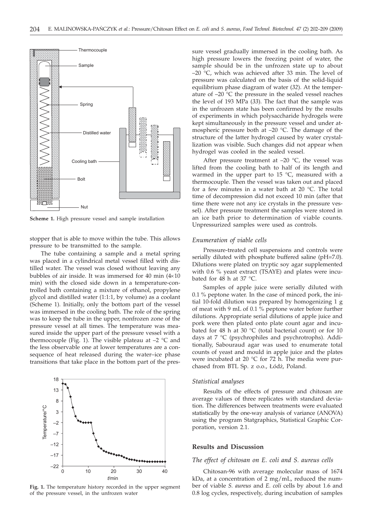

**Scheme 1.** High pressure vessel and sample installation

stopper that is able to move within the tube. This allows pressure to be transmitted to the sample.

The tube containing a sample and a metal spring was placed in a cylindrical metal vessel filled with distilled water. The vessel was closed without leaving any bubbles of air inside. It was immersed for 40 min  $(4\times10)$ min) with the closed side down in a temperature-controlled bath containing a mixture of ethanol, propylene glycol and distilled water (1:1:1, by volume) as a coolant (Scheme 1). Initially, only the bottom part of the vessel was immersed in the cooling bath. The role of the spring was to keep the tube in the upper, nonfrozen zone of the pressure vessel at all times. The temperature was measured inside the upper part of the pressure vessel with a thermocouple (Fig. 1). The visible plateau at  $-2$  °C and the less observable one at lower temperatures are a consequence of heat released during the water–ice phase transitions that take place in the bottom part of the pres-



**Fig. 1.** The temperature history recorded in the upper segment of the pressure vessel, in the unfrozen water

sure vessel gradually immersed in the cooling bath. As high pressure lowers the freezing point of water, the sample should be in the unfrozen state up to about  $-20$  °C, which was achieved after 33 min. The level of pressure was calculated on the basis of the solid-liquid equilibrium phase diagram of water (*32*). At the temperature of –20 °C the pressure in the sealed vessel reaches the level of 193 MPa (*33*). The fact that the sample was in the unfrozen state has been confirmed by the results of experiments in which polysaccharide hydrogels were kept simultaneously in the pressure vessel and under atmospheric pressure both at –20 °C. The damage of the structure of the latter hydrogel caused by water crystallization was visible. Such changes did not appear when hydrogel was cooled in the sealed vessel.

After pressure treatment at  $-20$  °C, the vessel was lifted from the cooling bath to half of its length and warmed in the upper part to 15 °C, measured with a thermocouple. Then the vessel was taken out and placed for a few minutes in a water bath at 20 °C. The total time of decompression did not exceed 10 min (after that time there were not any ice crystals in the pressure vessel). After pressure treatment the samples were stored in an ice bath prior to determination of viable counts. Unpressurized samples were used as controls.

### *Enumeration of viable cells*

Pressure-treated cell suspensions and controls were serially diluted with phosphate buffered saline (pH=7.0). Dilutions were plated on tryptic soy agar supplemented with 0.6 % yeast extract (TSAYE) and plates were incubated for 48 h at 37 °C.

Samples of apple juice were serially diluted with 0.1 % peptone water. In the case of minced pork, the initial 10-fold dilution was prepared by homogenizing 1 g of meat with 9 mL of 0.1 % peptone water before further dilutions. Appropriate serial dilutions of apple juice and pork were then plated onto plate count agar and incubated for 48 h at 30 °C (total bacterial count) or for 10 days at 7 °C (psychrophiles and psychrotrophs). Additionally, Sabouraud agar was used to enumerate total counts of yeast and mould in apple juice and the plates were incubated at 20  $\degree$ C for 72 h. The media were purchased from BTL Sp. z o.o., Łódź, Poland.

## *Statistical analyses*

Results of the effects of pressure and chitosan are average values of three replicates with standard deviation. The differences between treatments were evaluated statistically by the one-way analysis of variance (ANOVA) using the program Statgraphics, Statistical Graphic Corporation, version 2.1.

### **Results and Discussion**

#### *The effect of chitosan on E. coli and S. aureus cells*

Chitosan-96 with average molecular mass of 1674 kDa, at a concentration of 2 mg/mL, reduced the number of viable *S. aureus* and *E. coli* cells by about 1.6 and 0.8 log cycles, respectively, during incubation of samples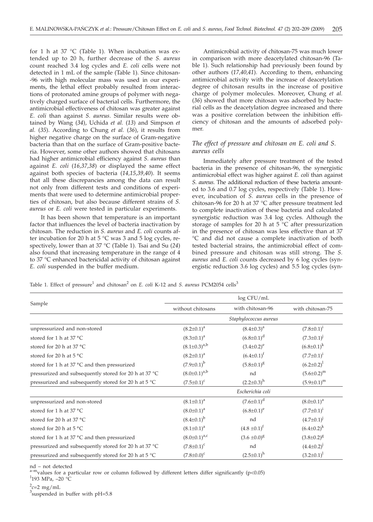for 1 h at 37 °C (Table 1). When incubation was extended up to 20 h, further decrease of the *S. aureus* count reached 3.4 log cycles and *E. coli* cells were not detected in 1 mL of the sample (Table 1). Since chitosan- -96 with high molecular mass was used in our experiments, the lethal effect probably resulted from interactions of protonated amine groups of polymer with negatively charged surface of bacterial cells. Furthermore, the antimicrobial effectiveness of chitosan was greater against *E. coli* than against *S. aureus*. Similar results were obtained by Wang (*34*), Uchida *et al.* (*13*) and Simpson *et al.* (*35*). According to Chung *et al.* (*36*), it results from higher negative charge on the surface of Gram-negative bacteria than that on the surface of Gram-positive bacteria. However, some other authors showed that chitosans had higher antimicrobial efficiency against *S. aureus* than against *E. coli* (*16,37,38*) or displayed the same effect against both species of bacteria (*14,15,39,40*). It seems that all these discrepancies among the data can result not only from different tests and conditions of experiments that were used to determine antimicrobial properties of chitosan, but also because different strains of *S. aureus* or *E. coli* were tested in particular experiments.

It has been shown that temperature is an important factor that influences the level of bacteria inactivation by chitosan. The reduction in *S. aureus* and *E. coli* counts after incubation for 20 h at  $5^{\circ}$ C was 3 and 5 log cycles, respectively, lower than at 37 °C (Table 1). Tsai and Su (*24*) also found that increasing temperature in the range of 4 to 37 °C enhanced bactericidal activity of chitosan against *E. coli* suspended in the buffer medium.

Antimicrobial activity of chitosan-75 was much lower in comparison with more deacetylated chitosan-96 (Table 1). Such relationship had previously been found by other authors (*17,40,41*). According to them, enhancing antimicrobial activity with the increase of deacetylation degree of chitosan results in the increase of positive charge of polymer molecules. Moreover, Chung *et al.* (*36*) showed that more chitosan was adsorbed by bacterial cells as the deacetylation degree increased and there was a positive correlation between the inhibition efficiency of chitosan and the amounts of adsorbed polymer.

## *The effect of pressure and chitosan on E. coli and S. aureus cells*

Immediately after pressure treatment of the tested bacteria in the presence of chitosan-96, the synergistic antimicrobial effect was higher against *E. coli* than against *S. aureus*. The additional reduction of these bacteria amounted to 3.6 and 0.7 log cycles, respectively (Table 1). However, incubation of *S. aureus* cells in the presence of chitosan-96 for 20 h at 37 °C after pressure treatment led to complete inactivation of these bacteria and calculated synergistic reduction was 3.4 log cycles. Although the storage of samples for 20 h at 5 °C after pressurization in the presence of chitosan was less effective than at 37 °C and did not cause a complete inactivation of both tested bacterial strains, the antimicrobial effect of combined pressure and chitosan was still strong. The *S. aureus* and *E. coli* counts decreased by 6 log cycles (synergistic reduction 3.6 log cycles) and 5.5 log cycles (syn-

Table 1. Effect of pressure<sup>1</sup> and chitosan<sup>2</sup> on *E. coli* K-12 and *S. aureus* PCM2054 cells<sup>3</sup>

|                                                               | log CFU/mL                            |                   |                     |  |  |  |
|---------------------------------------------------------------|---------------------------------------|-------------------|---------------------|--|--|--|
| Sample                                                        | with chitosan-96<br>without chitosans |                   | with chitosan-75    |  |  |  |
|                                                               | Staphylococcus aureus                 |                   |                     |  |  |  |
| unpressurized and non-stored                                  | $(8.2 \pm 0.1)^a$                     | $(8.4 \pm 0.3)^a$ | $(7.8 \pm 0.1)^{i}$ |  |  |  |
| stored for 1 h at 37 °C                                       | $(8.3 \pm 0.1)^a$                     | $(6.8 \pm 0.1)^d$ | $(7.3 \pm 0.1)^{J}$ |  |  |  |
| stored for 20 h at 37 °C                                      | $(8.1 \pm 0.3)^{a,b}$                 | $(3.4 \pm 0.2)^e$ | $(6.8 \pm 0.1)^k$   |  |  |  |
| stored for 20 h at 5 °C                                       | $(8.2 \pm 0.1)^a$                     | $(6.4 \pm 0.1)^f$ | $(7.7 \pm 0.1)^{i}$ |  |  |  |
| stored for 1 h at 37 °C and then pressurized                  | $(7.9 \pm 0.1)^{b}$                   | $(5.8 \pm 0.1)^8$ | $(6.2 \pm 0.2)^1$   |  |  |  |
| pressurized and subsequently stored for 20 h at 37 °C         | $(8.0 \pm 0.1)^{a,b}$<br>nd           |                   | $(5.6 \pm 0.2)^m$   |  |  |  |
| pressurized and subsequently stored for 20 h at $5^{\circ}$ C | $(7.5 \pm 0.1)^c$                     | $(2.2\pm0.3)^{h}$ |                     |  |  |  |
|                                                               |                                       | Escherichia coli  |                     |  |  |  |
| unpressurized and non-stored                                  | $(8.1 \pm 0.1)^a$                     | $(7.6 \pm 0.1)^d$ | $(8.0 \pm 0.1)^a$   |  |  |  |
| stored for 1 h at 37 °C                                       | $(8.0 \pm 0.1)^a$                     | $(6.8 \pm 0.1)^e$ | $(7.7 \pm 0.1)^{i}$ |  |  |  |
| stored for 20 h at 37 °C                                      | $(8.4 \pm 0.1)^{b}$                   | nd                | $(4.7 \pm 0.1)^{j}$ |  |  |  |
| stored for 20 h at $5^{\circ}$ C                              | $(8.1 \pm 0.1)^a$                     | $(4.8 \pm 0.1)^f$ | $(6.4 \pm 0.2)^k$   |  |  |  |
| stored for 1 h at 37 °C and then pressurized                  | $(8.0 \pm 0.1)^{a,c}$                 | $(3.6 \pm 0.0)^8$ | $(3.8 \pm 0.2)^8$   |  |  |  |
| pressurized and subsequently stored for 20 h at 37 °C         | $(7.8 \pm 0.1)^c$                     | nd                | $(4.4 \pm 0.2)^{j}$ |  |  |  |
| pressurized and subsequently stored for 20 h at $5^{\circ}$ C | $(7.8 \pm 0.0)^c$                     | $(2.5 \pm 0.1)^h$ | $(3.2 \pm 0.1)^1$   |  |  |  |

nd – not detected

 $a$ -m<sub>values</sub> for a particular row or column followed by different letters differ significantly (p<0.05)  $1$ 193 MPa, -20 °C

 $^{2}$ c=2 mg/mL<br><sup>3</sup>suspended i

 $3$ suspended in buffer with pH=5.8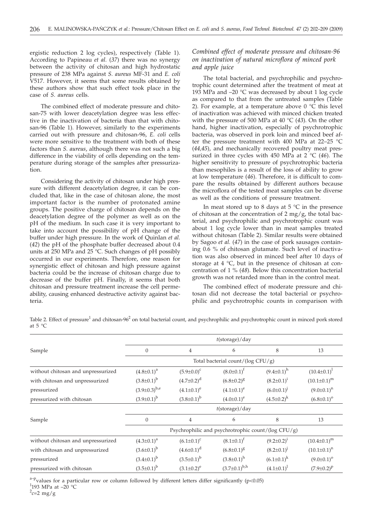ergistic reduction 2 log cycles), respectively (Table 1). According to Papineau *et al.* (*37*) there was no synergy between the activity of chitosan and high hydrostatic pressure of 238 MPa against *S. aureus* MF-31 and *E. coli* V517. However, it seems that some results obtained by these authors show that such effect took place in the case of *S. aureus* cells.

The combined effect of moderate pressure and chitosan-75 with lower deacetylation degree was less effective in the inactivation of bacteria than that with chitosan-96 (Table 1). However, similarly to the experiments carried out with pressure and chitosan-96, *E. coli* cells were more sensitive to the treatment with both of these factors than *S. aureus*, although there was not such a big difference in the viability of cells depending on the temperature during storage of the samples after pressurization.

Considering the activity of chitosan under high pressure with different deacetylation degree, it can be concluded that, like in the case of chitosan alone, the most important factor is the number of protonated amine groups. The positive charge of chitosan depends on the deacetylation degree of the polymer as well as on the pH of the medium. In such case it is very important to take into account the possibility of pH change of the buffer under high pressure. In the work of Quinlan *et al.* (*42*) the pH of the phosphate buffer decreased about 0.4 units at 250 MPa and 25 °C. Such changes of pH possibly occurred in our experiments. Therefore, one reason for synergistic effect of chitosan and high pressure against bacteria could be the increase of chitosan charge due to decrease of the buffer pH. Finally, it seems that both chitosan and pressure treatment increase the cell permeability, causing enhanced destructive activity against bacteria.

# *Combined effect of moderate pressure and chitosan-96 on inactivation of natural microflora of minced pork and apple juice*

The total bacterial, and psychrophilic and psychrotrophic count determined after the treatment of meat at 193 MPa and –20 °C was decreased by about 1 log cycle as compared to that from the untreated samples (Table 2). For example, at a temperature above  $0^{\circ}$ C this level of inactivation was achieved with minced chicken treated with the pressure of 500 MPa at 40 °C (*43*). On the other hand, higher inactivation, especially of psychrotrophic bacteria, was observed in pork loin and minced beef after the pressure treatment with 400 MPa at 22–25  $^{\circ}$ C (*44,45*), and mechanically recovered poultry meat pressurized in three cycles with 450 MPa at 2 °C (*46*). The higher sensitivity to pressure of psychrotrophic bacteria than mesophiles is a result of the loss of ability to grow at low temperature (*46*). Therefore, it is difficult to compare the results obtained by different authors because the microflora of the tested meat samples can be diverse as well as the conditions of pressure treatment.

In meat stored up to 8 days at  $5^{\circ}$ C in the presence of chitosan at the concentration of  $2 \text{ mg/g}$ , the total bacterial, and psychrophilic and psychrotrophic count was about 1 log cycle lower than in meat samples treated without chitosan (Table 2). Similar results were obtained by Sagoo *et al.* (*47*) in the case of pork sausages containing 0.6 % of chitosan glutamate. Such level of inactivation was also observed in minced beef after 10 days of storage at 4 °C, but in the presence of chitosan at concentration of 1 % (*48*). Below this concentration bacterial growth was not retarded more than in the control meat.

The combined effect of moderate pressure and chitosan did not decrease the total bacterial or psychrophilic and psychrotrophic counts in comparison with

Table 2. Effect of pressure<sup>1</sup> and chitosan-96<sup>2</sup> on total bacterial count, and psychrophilic and psychrotrophic count in minced pork stored at  $5^{\circ}$ C

|                                    | $t$ (storage)/day                                           |                   |                       |                     |                         |  |  |
|------------------------------------|-------------------------------------------------------------|-------------------|-----------------------|---------------------|-------------------------|--|--|
| Sample                             | $\Omega$                                                    | $\overline{4}$    | 6                     | 8                   | 13                      |  |  |
|                                    | Total bacterial count/( $log CFU/g$ )                       |                   |                       |                     |                         |  |  |
| without chitosan and unpressurized | $(8.0 \pm 0.1)^t$<br>$(5.9 \pm 0.0)^c$<br>$(4.8 \pm 0.1)^a$ |                   | $(9.4\pm0.1)^h$       | $(10.4 \pm 0.1)^1$  |                         |  |  |
| with chitosan and unpressurized    | $(3.8 \pm 0.1)^{b}$                                         | $(4.7 \pm 0.2)^d$ | $(6.8 \pm 0.2)^8$     | $(8.2 \pm 0.1)^1$   | $(10.1\pm0.1)^m$        |  |  |
| pressurized                        | $(3.9\pm0.3)^{b,e}$                                         | $(4.1\pm0.1)^e$   | $(4.1\pm0.1)^e$       | $(6.0 \pm 0.1)^{J}$ | $(9.0 \pm 0.1)^n$       |  |  |
| pressurized with chitosan          | $(3.9 \pm 0.1)^{b}$                                         | $(3.8\pm0.1)^{b}$ | $(4.0 \pm 0.1)^e$     | $(4.5 \pm 0.2)^k$   | $(6.8 \pm 0.1)^{\circ}$ |  |  |
|                                    | $t$ (storage)/day                                           |                   |                       |                     |                         |  |  |
| Sample                             | $\Omega$                                                    | $\overline{4}$    | 6                     | 8                   | 13                      |  |  |
|                                    | Psychrophilic and psychrotrophic count/( $log CFU/g$ )      |                   |                       |                     |                         |  |  |
| without chitosan and unpressurized | $(4.3 \pm 0.1)^a$                                           | $(6.1 \pm 0.1)^c$ | $(8.1 \pm 0.1)^f$     | $(9.2 \pm 0.2)^1$   | $(10.4 \pm 0.1)^m$      |  |  |
| with chitosan and unpressurized    | $(3.6 \pm 0.1)^b$                                           | $(4.6 \pm 0.1)^d$ | $(6.8 \pm 0.1)^8$     | $(8.2 \pm 0.1)^{j}$ | $(10.1\pm0.1)^n$        |  |  |
| pressurized                        | $(3.4\pm0.1)^{b}$                                           | $(3.5\pm0.1)^b$   | $(3.8 \pm 0.1)^h$     | $(6.1 \pm 0.1)^k$   | $(9.0 \pm 0.1)^{\circ}$ |  |  |
| pressurized with chitosan          | $(3.5 \pm 0.1)^b$                                           | $(3.1 \pm 0.2)^e$ | $(3.7 \pm 0.1)^{b,h}$ | $(4.1 \pm 0.1)^1$   | $(7.9 \pm 0.2)^p$       |  |  |

 $a-p$ values for a particular row or column followed by different letters differ significantly (p<0.05)  $^1$ 193 MPa at –20  $^{\circ} \textrm{C}$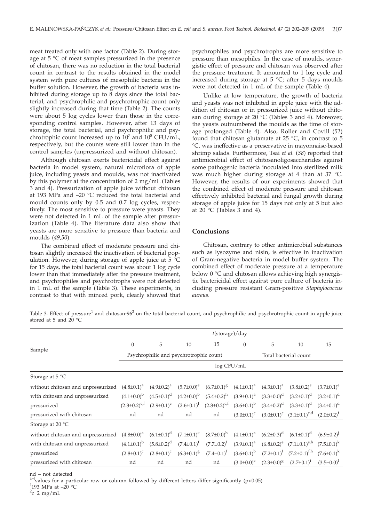meat treated only with one factor (Table 2). During storage at 5 °C of meat samples pressurized in the presence of chitosan, there was no reduction in the total bacterial count in contrast to the results obtained in the model system with pure cultures of mesophilic bacteria in the buffer solution. However, the growth of bacteria was inhibited during storage up to 8 days since the total bacterial, and psychrophilic and psychrotrophic count only slightly increased during that time (Table 2). The counts were about 5 log cycles lower than those in the corresponding control samples. However, after 13 days of storage, the total bacterial, and psychrophilic and psychrotrophic count increased up to  $10^7$  and  $10^8$  CFU/mL, respectively, but the counts were still lower than in the control samples (unpressurized and without chitosan).

Although chitosan exerts bactericidal effect against bacteria in model system, natural microflora of apple juice, including yeasts and moulds, was not inactivated by this polymer at the concentration of 2 mg/mL (Tables 3 and 4). Pressurization of apple juice without chitosan at 193 MPa and –20 °C reduced the total bacterial and mould counts only by 0.5 and 0.7 log cycles, respectively. The most sensitive to pressure were yeasts. They were not detected in 1 mL of the sample after pressurization (Table 4). The literature data also show that yeasts are more sensitive to pressure than bacteria and moulds (*49,50*).

The combined effect of moderate pressure and chitosan slightly increased the inactivation of bacterial population. However, during storage of apple juice at  $5^{\circ}$ C for 15 days, the total bacterial count was about 1 log cycle lower than that immediately after the pressure treatment, and psychrophiles and psychrotrophs were not detected in 1 mL of the sample (Table 3). These experiments, in contrast to that with minced pork, clearly showed that

psychrophiles and psychrotrophs are more sensitive to pressure than mesophiles. In the case of moulds, synergistic effect of pressure and chitosan was observed after the pressure treatment. It amounted to 1 log cycle and increased during storage at  $5 \text{ °C}$ ; after  $5$  days moulds were not detected in 1 mL of the sample (Table 4).

Unlike at low temperature, the growth of bacteria and yeasts was not inhibited in apple juice with the addition of chitosan or in pressurized juice without chitosan during storage at 20  $^{\circ}$ C (Tables 3 and 4). Moreover, the yeasts outnumbered the moulds as the time of storage prolonged (Table 4). Also, Roller and Covill (*51*) found that chitosan glutamate at  $25 \text{ °C}$ , in contrast to 5 °C, was ineffective as a preservative in mayonnaise-based shrimp salads. Furthermore, Tsai *et al.* (*38*) reported that antimicrobial effect of chitosanoligosaccharides against some pathogenic bacteria inoculated into sterilized milk was much higher during storage at 4 than at 37 °C. However, the results of our experiments showed that the combined effect of moderate pressure and chitosan effectively inhibited bacterial and fungal growth during storage of apple juice for 15 days not only at 5 but also at 20 °C (Tables 3 and 4).

#### **Conclusions**

Chitosan, contrary to other antimicrobial substances such as lysozyme and nisin, is effective in inactivation of Gram-negative bacteria in model buffer system. The combined effect of moderate pressure at a temperature below 0 °C and chitosan allows achieving high synergistic bactericidal effect against pure culture of bacteria including pressure resistant Gram-positive *Staphylococcus aureus*.

Table 3. Effect of pressure<sup>1</sup> and chitosan-96<sup>2</sup> on the total bacterial count, and psychrophilic and psychrotrophic count in apple juice stored at 5 and 20 °C

|                                    | $t$ (storage)/day                      |                   |                   |                     |                     |                       |                                     |                     |
|------------------------------------|----------------------------------------|-------------------|-------------------|---------------------|---------------------|-----------------------|-------------------------------------|---------------------|
| Sample                             | $\mathbf{0}$                           | 5                 | 10                | 15                  | $\theta$            | 5                     | 10                                  | 15                  |
|                                    | Psychrophilic and psychrotrophic count |                   |                   |                     |                     | Total bacterial count |                                     |                     |
|                                    | log CFU/mL                             |                   |                   |                     |                     |                       |                                     |                     |
| Storage at $5^{\circ}$ C           |                                        |                   |                   |                     |                     |                       |                                     |                     |
| without chitosan and unpressurized | $(4.8 \pm 0.1)^a$                      | $(4.9 \pm 0.2)^a$ | $(5.7 \pm 0.0)^e$ | $(6.7 \pm 0.1)^8$   | $(4.1\pm0.1)^a$     | $(4.3 \pm 0.1)^a$     | $(3.8 \pm 0.2)^e$                   | $(3.7 \pm 0.1)^e$   |
| with chitosan and unpressurized    | $(4.1\pm0.0)^{b}$                      | $(4.5 \pm 0.1)^d$ | $(4.2\pm0.0)^{b}$ | $(5.4 \pm 0.2)^h$   | $(3.9 \pm 0.1)^a$   | $(3.3 \pm 0.0)^d$     | $(3.2 \pm 0.1)^d$                   | $(3.2 \pm 0.1)^d$   |
| pressurized                        | $(2.8 \pm 0.2)^{c,t}$                  | $(2.9 \pm 0.1)^c$ | $(2.6 \pm 0.1)^f$ | $(2.8\pm0.2)^{c,f}$ | $(3.6 \pm 0.1)^{b}$ | $(3.4 \pm 0.2)^d$     | $(3.3 \pm 0.1)^d$                   | $(3.4\pm0.1)^d$     |
| pressurized with chitosan          | nd                                     | nd                | nd                | nd                  | $(3.0 \pm 0.1)^c$   |                       | $(3.0\pm0.1)^c$ $(3.1\pm0.1)^{c,d}$ | $(2.0 \pm 0.2)^f$   |
| Storage at 20 °C                   |                                        |                   |                   |                     |                     |                       |                                     |                     |
| without chitosan and unpressurized | $(4.8 \pm 0.0)^a$                      | $(6.1 \pm 0.1)^d$ | $(7.1 \pm 0.1)^e$ | $(8.7 \pm 0.0)^h$   | $(4.1 \pm 0.1)^a$   | $(6.2 \pm 0.3)^d$     | $(6.1 \pm 0.1)^d$                   | $(6.9 \pm 0.2)^{J}$ |
| with chitosan and unpressurized    | $(4.1\pm0.1)^{b}$                      | $(5.8 \pm 0.2)^d$ | $(7.4 \pm 0.1)^t$ | $(7.7 \pm 0.2)^f$   | $(3.9 \pm 0.1)^a$   |                       | $(6.8\pm0.2)^e$ $(7.1\pm0.1)^{e/h}$ | $(7.5 \pm 0.1)^k$   |
| pressurized                        | $(2.8 \pm 0.1)^c$                      | $(2.8 \pm 0.1)^c$ | $(6.3 \pm 0.1)^8$ | $(7.4 \pm 0.1)^t$   | $(3.6 \pm 0.1)^b$   | $(7.2 \pm 0.1)^t$     | $(7.2 \pm 0.1)^{f,h}$               | $(7.6 \pm 0.1)^k$   |
| pressurized with chitosan          | nd                                     | nd                | nd                | nd                  | $(3.0 \pm 0.0)^c$   | $(2.3 \pm 0.0)^8$     | $(2.7 \pm 0.1)^1$                   | $(3.5 \pm 0.0)^1$   |

nd – not detected

values for a particular row or column followed by different letters differ significantly (p<0.05)

 $^1$ 193 MPa at –20  $^{\circ}\textrm{C}$ 

 $\frac{2}{c}$  = 2 mg/mL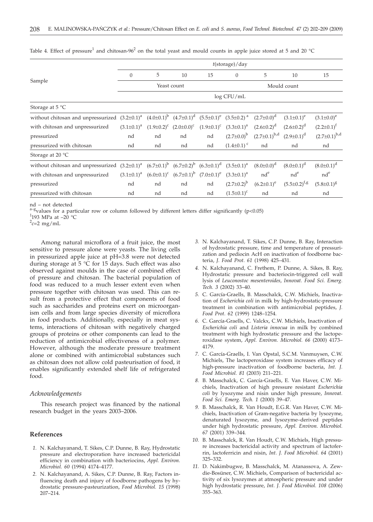|                                                                                                                    | $t$ (storage)/day |    |                                                                 |                   |                     |                       |                       |                       |
|--------------------------------------------------------------------------------------------------------------------|-------------------|----|-----------------------------------------------------------------|-------------------|---------------------|-----------------------|-----------------------|-----------------------|
| Sample                                                                                                             | $\overline{0}$    | 5  | 10                                                              | 15                | $\mathbf{0}$        | 5                     | 10                    | 15                    |
|                                                                                                                    | Yeast count       |    |                                                                 |                   | Mould count         |                       |                       |                       |
|                                                                                                                    | log CFU/mL        |    |                                                                 |                   |                     |                       |                       |                       |
| Storage at $5^{\circ}$ C                                                                                           |                   |    |                                                                 |                   |                     |                       |                       |                       |
| without chitosan and unpressurized $(3.2\pm0.1)^a$ $(4.0\pm0.1)^b$ $(4.7\pm0.1)^d$ $(5.5\pm0.1)^e$ $(3.5\pm0.2)^a$ |                   |    |                                                                 |                   |                     | $(2.7 \pm 0.0)^d$     | $(3.1 \pm 0.1)^e$     | $(3.1 \pm 0.0)^e$     |
| with chitosan and unpressurized                                                                                    | $(3.1 \pm 0.1)^a$ |    | $(1.9\pm0.2)^c$ $(2.0\pm0.0)^c$                                 | $(1.9 \pm 0.1)^c$ | $(3.3 \pm 0.1)^a$   | $(2.6 \pm 0.2)^d$     | $(2.6 \pm 0.2)^d$     | $(2.2 \pm 0.1)^f$     |
| pressurized                                                                                                        | nd                | nd | nd                                                              | nd                | $(2.7 \pm 0.0)^{b}$ | $(2.7 \pm 0.1)^{b,d}$ | $(2.9 \pm 0.1)^d$     | $(2.7 \pm 0.1)^{b,d}$ |
| pressurized with chitosan                                                                                          | nd                | nd | nd                                                              | nd                | $(1.4\pm0.1)^c$     | nd                    | nd                    | nd                    |
| Storage at 20 °C                                                                                                   |                   |    |                                                                 |                   |                     |                       |                       |                       |
| without chitosan and unpressurized $(3.2\pm0.1)^a$ $(6.7\pm0.1)^b$ $(6.7\pm0.2)^b$ $(6.3\pm0.1)^d$ $(3.5\pm0.1)^a$ |                   |    |                                                                 |                   |                     | $(8.0 \pm 0.0)^d$     | $(8.0 \pm 0.1)^d$     | $(8.0 \pm 0.1)^d$     |
| with chitosan and unpressurized                                                                                    | $(3.1 \pm 0.1)^a$ |    | $(6.0\pm0.1)^c$ $(6.7\pm0.1)^b$ $(7.0\pm0.1)^e$ $(3.3\pm0.1)^a$ |                   |                     | $nd^e$                | $nd^e$                | $nd^e$                |
| pressurized                                                                                                        | nd                | nd | nd                                                              | nd                | $(2.7 \pm 0.2)^{b}$ | $(6.2 \pm 0.1)^e$     | $(5.5 \pm 0.2)^{f,g}$ | $(5.8 \pm 0.1)^8$     |
| pressurized with chitosan                                                                                          | nd                | nd | nd                                                              | nd                | $(1.5 \pm 0.1)^c$   | nd                    | nd                    | nd                    |

Table 4. Effect of pressure<sup>1</sup> and chitosan-96<sup>2</sup> on the total yeast and mould counts in apple juice stored at 5 and 20 °C

nd – not detected

 $a$ –gvalues for a particular row or column followed by different letters differ significantly (p<0.05)

 $1$ 193 MPa at -20 °C

 $\frac{2}{c}$  = 2 mg/mL

Among natural microflora of a fruit juice, the most sensitive to pressure alone were yeasts. The living cells in pressurized apple juice at pH=3.8 were not detected during storage at 5 °C for 15 days. Such effect was also observed against moulds in the case of combined effect of pressure and chitosan. The bacterial population of food was reduced to a much lesser extent even when pressure together with chitosan was used. This can result from a protective effect that components of food such as saccharides and proteins exert on microorganism cells and from large species diversity of microflora in food products. Additionally, especially in meat systems, interactions of chitosan with negatively charged groups of proteins or other components can lead to the reduction of antimicrobial effectiveness of a polymer. However, although the moderate pressure treatment alone or combined with antimicrobial substances such as chitosan does not allow cold pasteurisation of food, it enables significantly extended shelf life of refrigerated food.

### *Acknowledgements*

This research project was financed by the national research budget in the years 2003–2006.

#### **References**

- *1.* N. Kalchayanand, T. Sikes, C.P. Dunne, B. Ray, Hydrostatic pressure and electroporation have increased bactericidal efficiency in combination with bacteriocins, *Appl. Environ. Microbiol. 60* (1994) 4174–4177.
- *2.* N. Kalchayanand, A. Sikes, C.P. Dunne, B. Ray, Factors influencing death and injury of foodborne pathogens by hydrostatic pressure-pasteurization, *Food Microbiol. 15* (1998) 207–214.
- *3.* N. Kalchayanand, T. Sikes, C.P. Dunne, B. Ray, Interaction of hydrostatic pressure, time and temperature of pressurization and pediocin AcH on inactivation of foodborne bacteria, *J. Food Prot. 61* (1998) 425–431.
- *4.* N. Kalchayanand, C. Frethem, P. Dunne, A. Sikes, B. Ray, Hydrostatic pressure and bacteriocin-triggered cell wall lysis of *Leuconostoc mesenteroides*, *Innovat. Food Sci. Emerg. Tech. 3* (2002) 33–40.
- *5.* C. García-Graells, B. Masschalck, C.W. Michiels, Inactivation of *Escherichia coli* in milk by high-hydrostatic-pressure treatment in combination with antimicrobial peptides, *J. Food Prot. 62* (1999) 1248–1254.
- *6.* C. García-Graells, C. Valckx, C.W. Michiels, Inactivation of *Escherichia coli* and *Listeria innocua* in milk by combined treatment with high hydrostatic pressure and the lactoperoxidase system, *Appl. Environ. Microbiol. 66* (2000) 4173– 4179.
- *7.* C. García-Graells, I. Van Opstal, S.C.M. Vanmuysen, C.W. Michiels, The lactoperoxidase system increases efficacy of high-pressure inactivation of foodborne bacteria, *Int. J. Food Microbiol. 81* (2003) 211–221.
- *8.* B. Masschalck, C. García-Graells, E. Van Haver, C.W. Michiels, Inactivation of high pressure resistant *Escherichia coli* by lysozyme and nisin under high pressure, *Innovat. Food Sci. Emerg. Tech. 1* (2000) 39–47.
- *9.* B. Masschalck, R. Van Houdt, E.G.R. Van Haver, C.W. Michiels, Inactivation of Gram-negative bacteria by lysozyme, denaturated lysozyme, and lysozyme–derived peptides under high hydrostatic pressure, *Appl. Environ. Microbiol. 67* (2001) 339–344*.*
- *10.* B. Masschalck, R. Van Houdt, C.W. Michiels, High pressure increases bactericidal activity and spectrum of lactoferrin, lactoferricin and nisin, *Int. J. Food Microbiol. 64* (2001) 325–332.
- *11.* D. Nakimbugwe, B. Masschalck, M. Atanassova, A. Zewdie-Bosüner, C.W. Michiels, Comparison of bactericidal activity of six lysozymes at atmospheric pressure and under high hydrostatic pressure, *Int. J. Food Microbiol. 108* (2006) 355–363.